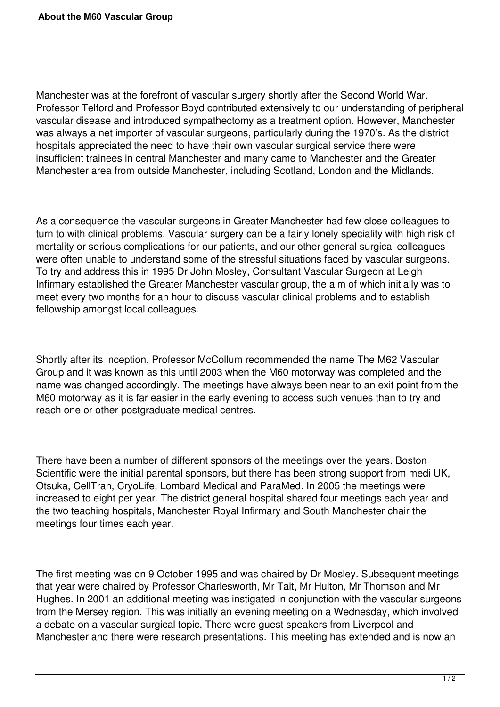Manchester was at the forefront of vascular surgery shortly after the Second World War. Professor Telford and Professor Boyd contributed extensively to our understanding of peripheral vascular disease and introduced sympathectomy as a treatment option. However, Manchester was always a net importer of vascular surgeons, particularly during the 1970's. As the district hospitals appreciated the need to have their own vascular surgical service there were insufficient trainees in central Manchester and many came to Manchester and the Greater Manchester area from outside Manchester, including Scotland, London and the Midlands.

As a consequence the vascular surgeons in Greater Manchester had few close colleagues to turn to with clinical problems. Vascular surgery can be a fairly lonely speciality with high risk of mortality or serious complications for our patients, and our other general surgical colleagues were often unable to understand some of the stressful situations faced by vascular surgeons. To try and address this in 1995 Dr John Mosley, Consultant Vascular Surgeon at Leigh Infirmary established the Greater Manchester vascular group, the aim of which initially was to meet every two months for an hour to discuss vascular clinical problems and to establish fellowship amongst local colleagues.

Shortly after its inception, Professor McCollum recommended the name The M62 Vascular Group and it was known as this until 2003 when the M60 motorway was completed and the name was changed accordingly. The meetings have always been near to an exit point from the M60 motorway as it is far easier in the early evening to access such venues than to try and reach one or other postgraduate medical centres.

There have been a number of different sponsors of the meetings over the years. Boston Scientific were the initial parental sponsors, but there has been strong support from medi UK, Otsuka, CellTran, CryoLife, Lombard Medical and ParaMed. In 2005 the meetings were increased to eight per year. The district general hospital shared four meetings each year and the two teaching hospitals, Manchester Royal Infirmary and South Manchester chair the meetings four times each year.

The first meeting was on 9 October 1995 and was chaired by Dr Mosley. Subsequent meetings that year were chaired by Professor Charlesworth, Mr Tait, Mr Hulton, Mr Thomson and Mr Hughes. In 2001 an additional meeting was instigated in conjunction with the vascular surgeons from the Mersey region. This was initially an evening meeting on a Wednesday, which involved a debate on a vascular surgical topic. There were guest speakers from Liverpool and Manchester and there were research presentations. This meeting has extended and is now an